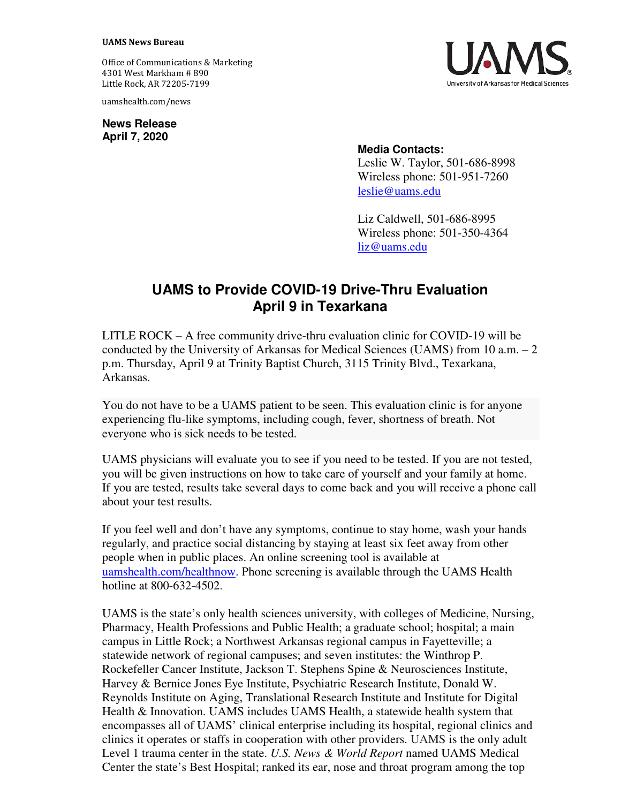## **UAMS News Bureau**

Office of Communications & Marketing 4301 West Markham # 890 Little Rock, AR 72205-7199

uamshealth.com/news

**News Release April 7, 2020**



## **Media Contacts:**

Leslie W. Taylor, 501-686-8998 Wireless phone: 501-951-7260 [leslie@uams.edu](mailto:leslie@uams.edu)

Liz Caldwell, 501-686-8995 Wireless phone: 501-350-4364 [liz@uams.edu](mailto:liz@uams.edu)

## **UAMS to Provide COVID-19 Drive-Thru Evaluation April 9 in Texarkana**

LITLE ROCK – A free community drive-thru evaluation clinic for COVID-19 will be conducted by the University of Arkansas for Medical Sciences (UAMS) from 10 a.m. – 2 p.m. Thursday, April 9 at Trinity Baptist Church, 3115 Trinity Blvd., Texarkana, Arkansas.

You do not have to be a UAMS patient to be seen. This evaluation clinic is for anyone experiencing flu-like symptoms, including cough, fever, shortness of breath. Not everyone who is sick needs to be tested.

UAMS physicians will evaluate you to see if you need to be tested. If you are not tested, you will be given instructions on how to take care of yourself and your family at home. If you are tested, results take several days to come back and you will receive a phone call about your test results.

If you feel well and don't have any symptoms, continue to stay home, wash your hands regularly, and practice social distancing by staying at least six feet away from other people when in public places. An online screening tool is available at [uamshealth.com/healthnow.](https://uamshealth.com/healthnow/) Phone screening is available through the UAMS Health hotline at 800-632-4502.

UAMS is the state's only health sciences university, with colleges of Medicine, Nursing, Pharmacy, Health Professions and Public Health; a graduate school; hospital; a main campus in Little Rock; a Northwest Arkansas regional campus in Fayetteville; a statewide network of regional campuses; and seven institutes: the Winthrop P. Rockefeller Cancer Institute, Jackson T. Stephens Spine & Neurosciences Institute, Harvey & Bernice Jones Eye Institute, Psychiatric Research Institute, Donald W. Reynolds Institute on Aging, Translational Research Institute and Institute for Digital Health & Innovation. UAMS includes UAMS Health, a statewide health system that encompasses all of UAMS' clinical enterprise including its hospital, regional clinics and clinics it operates or staffs in cooperation with other providers. UAMS is the only adult Level 1 trauma center in the state. *U.S. News & World Report* named UAMS Medical Center the state's Best Hospital; ranked its ear, nose and throat program among the top